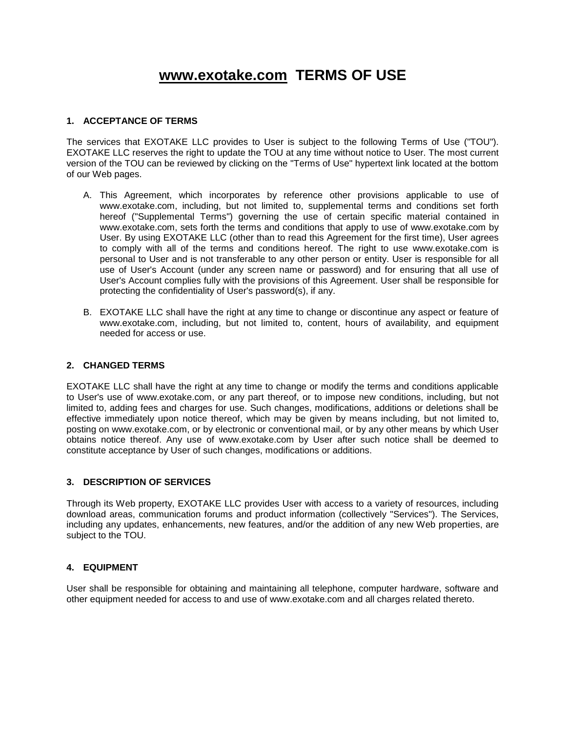# **[www.exotake.com](http://www.exotake.com/) TERMS OF USE**

## **1. ACCEPTANCE OF TERMS**

The services that EXOTAKE LLC provides to User is subject to the following Terms of Use ("TOU"). EXOTAKE LLC reserves the right to update the TOU at any time without notice to User. The most current version of the TOU can be reviewed by clicking on the "Terms of Use" hypertext link located at the bottom of our Web pages.

- A. This Agreement, which incorporates by reference other provisions applicable to use of www.exotake.com, including, but not limited to, supplemental terms and conditions set forth hereof ("Supplemental Terms") governing the use of certain specific material contained in www.exotake.com, sets forth the terms and conditions that apply to use of www.exotake.com by User. By using EXOTAKE LLC (other than to read this Agreement for the first time), User agrees to comply with all of the terms and conditions hereof. The right to use www.exotake.com is personal to User and is not transferable to any other person or entity. User is responsible for all use of User's Account (under any screen name or password) and for ensuring that all use of User's Account complies fully with the provisions of this Agreement. User shall be responsible for protecting the confidentiality of User's password(s), if any.
- B. EXOTAKE LLC shall have the right at any time to change or discontinue any aspect or feature of www.exotake.com, including, but not limited to, content, hours of availability, and equipment needed for access or use.

#### **2. CHANGED TERMS**

EXOTAKE LLC shall have the right at any time to change or modify the terms and conditions applicable to User's use of www.exotake.com, or any part thereof, or to impose new conditions, including, but not limited to, adding fees and charges for use. Such changes, modifications, additions or deletions shall be effective immediately upon notice thereof, which may be given by means including, but not limited to, posting on www.exotake.com, or by electronic or conventional mail, or by any other means by which User obtains notice thereof. Any use of www.exotake.com by User after such notice shall be deemed to constitute acceptance by User of such changes, modifications or additions.

#### **3. DESCRIPTION OF SERVICES**

Through its Web property, EXOTAKE LLC provides User with access to a variety of resources, including download areas, communication forums and product information (collectively "Services"). The Services, including any updates, enhancements, new features, and/or the addition of any new Web properties, are subject to the TOU.

#### **4. EQUIPMENT**

User shall be responsible for obtaining and maintaining all telephone, computer hardware, software and other equipment needed for access to and use of www.exotake.com and all charges related thereto.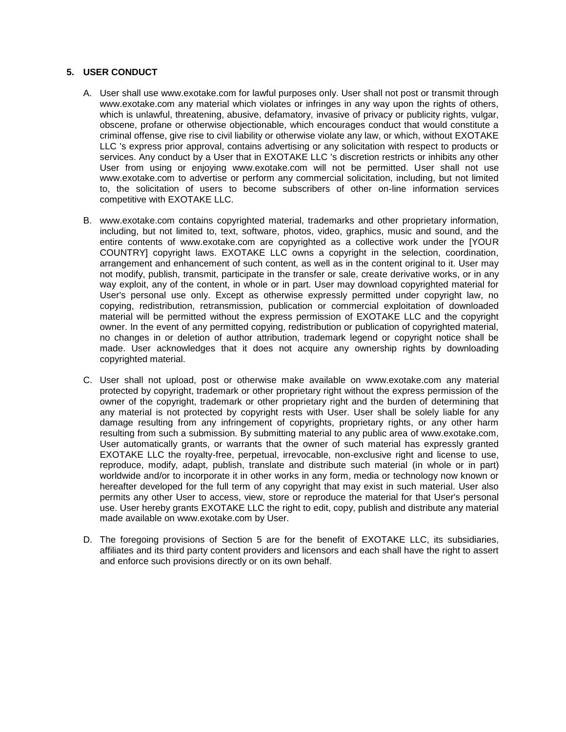## **5. USER CONDUCT**

- A. User shall use www.exotake.com for lawful purposes only. User shall not post or transmit through www.exotake.com any material which violates or infringes in any way upon the rights of others, which is unlawful, threatening, abusive, defamatory, invasive of privacy or publicity rights, vulgar, obscene, profane or otherwise objectionable, which encourages conduct that would constitute a criminal offense, give rise to civil liability or otherwise violate any law, or which, without EXOTAKE LLC 's express prior approval, contains advertising or any solicitation with respect to products or services. Any conduct by a User that in EXOTAKE LLC 's discretion restricts or inhibits any other User from using or enjoying www.exotake.com will not be permitted. User shall not use www.exotake.com to advertise or perform any commercial solicitation, including, but not limited to, the solicitation of users to become subscribers of other on-line information services competitive with EXOTAKE LLC.
- B. www.exotake.com contains copyrighted material, trademarks and other proprietary information, including, but not limited to, text, software, photos, video, graphics, music and sound, and the entire contents of www.exotake.com are copyrighted as a collective work under the [YOUR COUNTRY] copyright laws. EXOTAKE LLC owns a copyright in the selection, coordination, arrangement and enhancement of such content, as well as in the content original to it. User may not modify, publish, transmit, participate in the transfer or sale, create derivative works, or in any way exploit, any of the content, in whole or in part. User may download copyrighted material for User's personal use only. Except as otherwise expressly permitted under copyright law, no copying, redistribution, retransmission, publication or commercial exploitation of downloaded material will be permitted without the express permission of EXOTAKE LLC and the copyright owner. In the event of any permitted copying, redistribution or publication of copyrighted material, no changes in or deletion of author attribution, trademark legend or copyright notice shall be made. User acknowledges that it does not acquire any ownership rights by downloading copyrighted material.
- C. User shall not upload, post or otherwise make available on www.exotake.com any material protected by copyright, trademark or other proprietary right without the express permission of the owner of the copyright, trademark or other proprietary right and the burden of determining that any material is not protected by copyright rests with User. User shall be solely liable for any damage resulting from any infringement of copyrights, proprietary rights, or any other harm resulting from such a submission. By submitting material to any public area of www.exotake.com, User automatically grants, or warrants that the owner of such material has expressly granted EXOTAKE LLC the royalty-free, perpetual, irrevocable, non-exclusive right and license to use, reproduce, modify, adapt, publish, translate and distribute such material (in whole or in part) worldwide and/or to incorporate it in other works in any form, media or technology now known or hereafter developed for the full term of any copyright that may exist in such material. User also permits any other User to access, view, store or reproduce the material for that User's personal use. User hereby grants EXOTAKE LLC the right to edit, copy, publish and distribute any material made available on www.exotake.com by User.
- D. The foregoing provisions of Section 5 are for the benefit of EXOTAKE LLC, its subsidiaries, affiliates and its third party content providers and licensors and each shall have the right to assert and enforce such provisions directly or on its own behalf.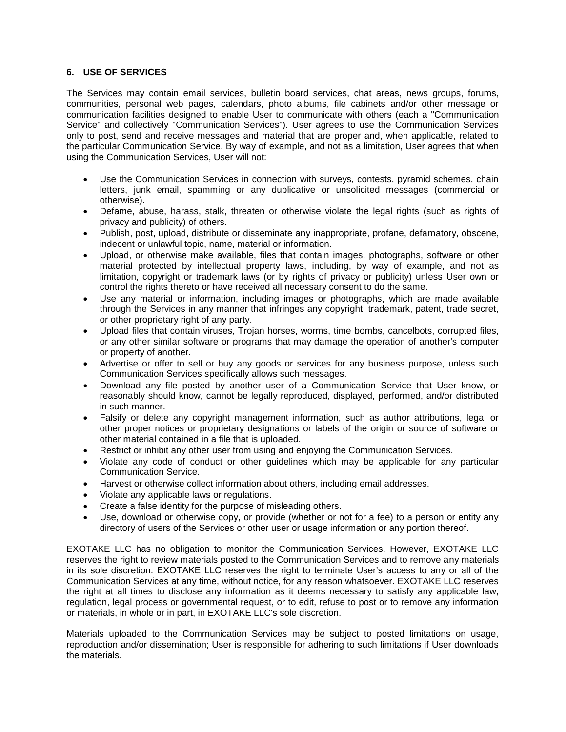## **6. USE OF SERVICES**

The Services may contain email services, bulletin board services, chat areas, news groups, forums, communities, personal web pages, calendars, photo albums, file cabinets and/or other message or communication facilities designed to enable User to communicate with others (each a "Communication Service" and collectively "Communication Services"). User agrees to use the Communication Services only to post, send and receive messages and material that are proper and, when applicable, related to the particular Communication Service. By way of example, and not as a limitation, User agrees that when using the Communication Services, User will not:

- Use the Communication Services in connection with surveys, contests, pyramid schemes, chain letters, junk email, spamming or any duplicative or unsolicited messages (commercial or otherwise).
- Defame, abuse, harass, stalk, threaten or otherwise violate the legal rights (such as rights of privacy and publicity) of others.
- Publish, post, upload, distribute or disseminate any inappropriate, profane, defamatory, obscene, indecent or unlawful topic, name, material or information.
- Upload, or otherwise make available, files that contain images, photographs, software or other material protected by intellectual property laws, including, by way of example, and not as limitation, copyright or trademark laws (or by rights of privacy or publicity) unless User own or control the rights thereto or have received all necessary consent to do the same.
- Use any material or information, including images or photographs, which are made available through the Services in any manner that infringes any copyright, trademark, patent, trade secret, or other proprietary right of any party.
- Upload files that contain viruses, Trojan horses, worms, time bombs, cancelbots, corrupted files, or any other similar software or programs that may damage the operation of another's computer or property of another.
- Advertise or offer to sell or buy any goods or services for any business purpose, unless such Communication Services specifically allows such messages.
- Download any file posted by another user of a Communication Service that User know, or reasonably should know, cannot be legally reproduced, displayed, performed, and/or distributed in such manner.
- Falsify or delete any copyright management information, such as author attributions, legal or other proper notices or proprietary designations or labels of the origin or source of software or other material contained in a file that is uploaded.
- Restrict or inhibit any other user from using and enjoying the Communication Services.
- Violate any code of conduct or other guidelines which may be applicable for any particular Communication Service.
- Harvest or otherwise collect information about others, including email addresses.
- Violate any applicable laws or regulations.
- Create a false identity for the purpose of misleading others.
- Use, download or otherwise copy, or provide (whether or not for a fee) to a person or entity any directory of users of the Services or other user or usage information or any portion thereof.

EXOTAKE LLC has no obligation to monitor the Communication Services. However, EXOTAKE LLC reserves the right to review materials posted to the Communication Services and to remove any materials in its sole discretion. EXOTAKE LLC reserves the right to terminate User's access to any or all of the Communication Services at any time, without notice, for any reason whatsoever. EXOTAKE LLC reserves the right at all times to disclose any information as it deems necessary to satisfy any applicable law, regulation, legal process or governmental request, or to edit, refuse to post or to remove any information or materials, in whole or in part, in EXOTAKE LLC's sole discretion.

Materials uploaded to the Communication Services may be subject to posted limitations on usage, reproduction and/or dissemination; User is responsible for adhering to such limitations if User downloads the materials.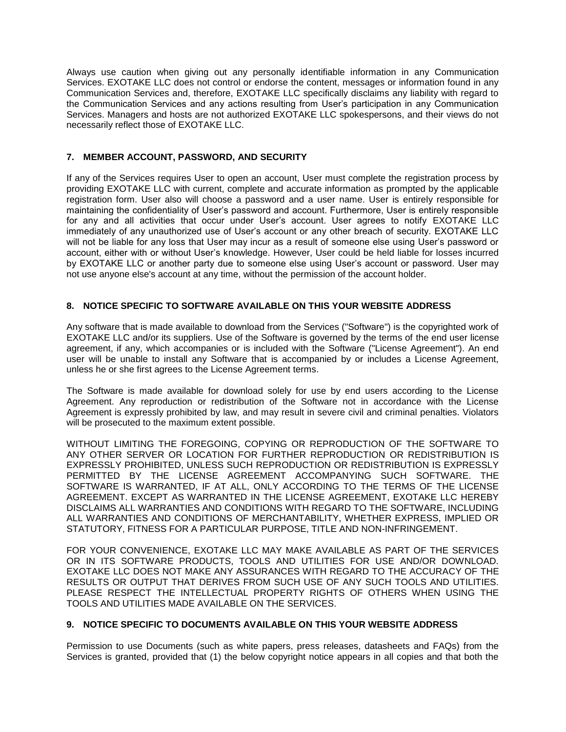Always use caution when giving out any personally identifiable information in any Communication Services. EXOTAKE LLC does not control or endorse the content, messages or information found in any Communication Services and, therefore, EXOTAKE LLC specifically disclaims any liability with regard to the Communication Services and any actions resulting from User's participation in any Communication Services. Managers and hosts are not authorized EXOTAKE LLC spokespersons, and their views do not necessarily reflect those of EXOTAKE LLC.

## **7. MEMBER ACCOUNT, PASSWORD, AND SECURITY**

If any of the Services requires User to open an account, User must complete the registration process by providing EXOTAKE LLC with current, complete and accurate information as prompted by the applicable registration form. User also will choose a password and a user name. User is entirely responsible for maintaining the confidentiality of User's password and account. Furthermore, User is entirely responsible for any and all activities that occur under User's account. User agrees to notify EXOTAKE LLC immediately of any unauthorized use of User's account or any other breach of security. EXOTAKE LLC will not be liable for any loss that User may incur as a result of someone else using User's password or account, either with or without User's knowledge. However, User could be held liable for losses incurred by EXOTAKE LLC or another party due to someone else using User's account or password. User may not use anyone else's account at any time, without the permission of the account holder.

# **8. NOTICE SPECIFIC TO SOFTWARE AVAILABLE ON THIS YOUR WEBSITE ADDRESS**

Any software that is made available to download from the Services ("Software") is the copyrighted work of EXOTAKE LLC and/or its suppliers. Use of the Software is governed by the terms of the end user license agreement, if any, which accompanies or is included with the Software ("License Agreement"). An end user will be unable to install any Software that is accompanied by or includes a License Agreement, unless he or she first agrees to the License Agreement terms.

The Software is made available for download solely for use by end users according to the License Agreement. Any reproduction or redistribution of the Software not in accordance with the License Agreement is expressly prohibited by law, and may result in severe civil and criminal penalties. Violators will be prosecuted to the maximum extent possible.

WITHOUT LIMITING THE FOREGOING, COPYING OR REPRODUCTION OF THE SOFTWARE TO ANY OTHER SERVER OR LOCATION FOR FURTHER REPRODUCTION OR REDISTRIBUTION IS EXPRESSLY PROHIBITED, UNLESS SUCH REPRODUCTION OR REDISTRIBUTION IS EXPRESSLY PERMITTED BY THE LICENSE AGREEMENT ACCOMPANYING SUCH SOFTWARE. THE SOFTWARE IS WARRANTED, IF AT ALL, ONLY ACCORDING TO THE TERMS OF THE LICENSE AGREEMENT. EXCEPT AS WARRANTED IN THE LICENSE AGREEMENT, EXOTAKE LLC HEREBY DISCLAIMS ALL WARRANTIES AND CONDITIONS WITH REGARD TO THE SOFTWARE, INCLUDING ALL WARRANTIES AND CONDITIONS OF MERCHANTABILITY, WHETHER EXPRESS, IMPLIED OR STATUTORY, FITNESS FOR A PARTICULAR PURPOSE, TITLE AND NON-INFRINGEMENT.

FOR YOUR CONVENIENCE, EXOTAKE LLC MAY MAKE AVAILABLE AS PART OF THE SERVICES OR IN ITS SOFTWARE PRODUCTS, TOOLS AND UTILITIES FOR USE AND/OR DOWNLOAD. EXOTAKE LLC DOES NOT MAKE ANY ASSURANCES WITH REGARD TO THE ACCURACY OF THE RESULTS OR OUTPUT THAT DERIVES FROM SUCH USE OF ANY SUCH TOOLS AND UTILITIES. PLEASE RESPECT THE INTELLECTUAL PROPERTY RIGHTS OF OTHERS WHEN USING THE TOOLS AND UTILITIES MADE AVAILABLE ON THE SERVICES.

# **9. NOTICE SPECIFIC TO DOCUMENTS AVAILABLE ON THIS YOUR WEBSITE ADDRESS**

Permission to use Documents (such as white papers, press releases, datasheets and FAQs) from the Services is granted, provided that (1) the below copyright notice appears in all copies and that both the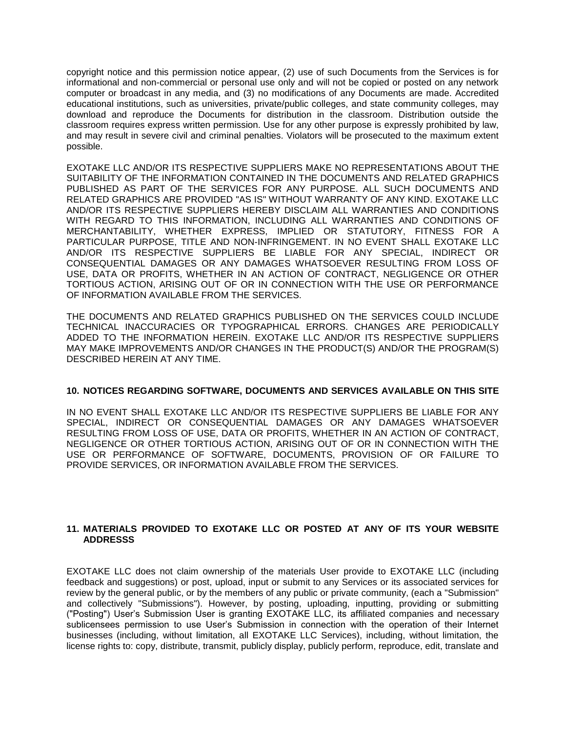copyright notice and this permission notice appear, (2) use of such Documents from the Services is for informational and non-commercial or personal use only and will not be copied or posted on any network computer or broadcast in any media, and (3) no modifications of any Documents are made. Accredited educational institutions, such as universities, private/public colleges, and state community colleges, may download and reproduce the Documents for distribution in the classroom. Distribution outside the classroom requires express written permission. Use for any other purpose is expressly prohibited by law, and may result in severe civil and criminal penalties. Violators will be prosecuted to the maximum extent possible.

EXOTAKE LLC AND/OR ITS RESPECTIVE SUPPLIERS MAKE NO REPRESENTATIONS ABOUT THE SUITABILITY OF THE INFORMATION CONTAINED IN THE DOCUMENTS AND RELATED GRAPHICS PUBLISHED AS PART OF THE SERVICES FOR ANY PURPOSE. ALL SUCH DOCUMENTS AND RELATED GRAPHICS ARE PROVIDED "AS IS" WITHOUT WARRANTY OF ANY KIND. EXOTAKE LLC AND/OR ITS RESPECTIVE SUPPLIERS HEREBY DISCLAIM ALL WARRANTIES AND CONDITIONS WITH REGARD TO THIS INFORMATION, INCLUDING ALL WARRANTIES AND CONDITIONS OF MERCHANTABILITY, WHETHER EXPRESS, IMPLIED OR STATUTORY, FITNESS FOR A PARTICULAR PURPOSE, TITLE AND NON-INFRINGEMENT. IN NO EVENT SHALL EXOTAKE LLC AND/OR ITS RESPECTIVE SUPPLIERS BE LIABLE FOR ANY SPECIAL, INDIRECT OR CONSEQUENTIAL DAMAGES OR ANY DAMAGES WHATSOEVER RESULTING FROM LOSS OF USE, DATA OR PROFITS, WHETHER IN AN ACTION OF CONTRACT, NEGLIGENCE OR OTHER TORTIOUS ACTION, ARISING OUT OF OR IN CONNECTION WITH THE USE OR PERFORMANCE OF INFORMATION AVAILABLE FROM THE SERVICES.

THE DOCUMENTS AND RELATED GRAPHICS PUBLISHED ON THE SERVICES COULD INCLUDE TECHNICAL INACCURACIES OR TYPOGRAPHICAL ERRORS. CHANGES ARE PERIODICALLY ADDED TO THE INFORMATION HEREIN. EXOTAKE LLC AND/OR ITS RESPECTIVE SUPPLIERS MAY MAKE IMPROVEMENTS AND/OR CHANGES IN THE PRODUCT(S) AND/OR THE PROGRAM(S) DESCRIBED HEREIN AT ANY TIME.

## **10. NOTICES REGARDING SOFTWARE, DOCUMENTS AND SERVICES AVAILABLE ON THIS SITE**

IN NO EVENT SHALL EXOTAKE LLC AND/OR ITS RESPECTIVE SUPPLIERS BE LIABLE FOR ANY SPECIAL, INDIRECT OR CONSEQUENTIAL DAMAGES OR ANY DAMAGES WHATSOEVER RESULTING FROM LOSS OF USE, DATA OR PROFITS, WHETHER IN AN ACTION OF CONTRACT, NEGLIGENCE OR OTHER TORTIOUS ACTION, ARISING OUT OF OR IN CONNECTION WITH THE USE OR PERFORMANCE OF SOFTWARE, DOCUMENTS, PROVISION OF OR FAILURE TO PROVIDE SERVICES, OR INFORMATION AVAILABLE FROM THE SERVICES.

## **11. MATERIALS PROVIDED TO EXOTAKE LLC OR POSTED AT ANY OF ITS YOUR WEBSITE ADDRESSS**

EXOTAKE LLC does not claim ownership of the materials User provide to EXOTAKE LLC (including feedback and suggestions) or post, upload, input or submit to any Services or its associated services for review by the general public, or by the members of any public or private community, (each a "Submission" and collectively "Submissions"). However, by posting, uploading, inputting, providing or submitting ("Posting") User's Submission User is granting EXOTAKE LLC, its affiliated companies and necessary sublicensees permission to use User's Submission in connection with the operation of their Internet businesses (including, without limitation, all EXOTAKE LLC Services), including, without limitation, the license rights to: copy, distribute, transmit, publicly display, publicly perform, reproduce, edit, translate and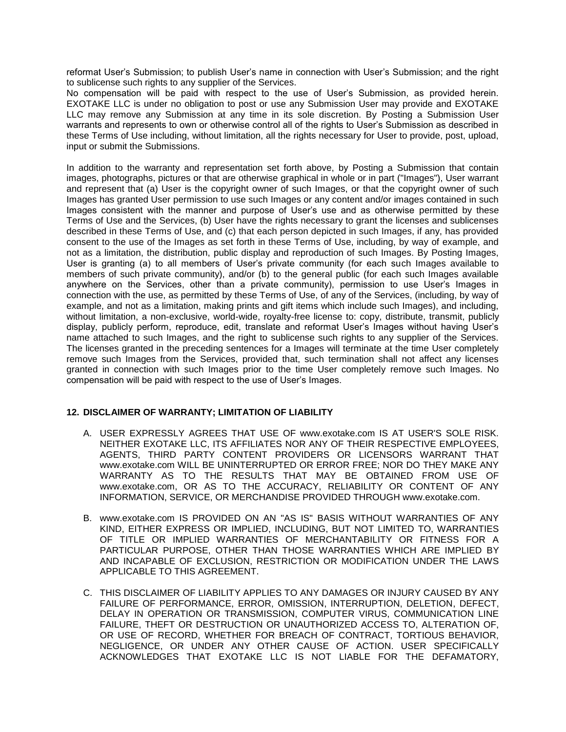reformat User's Submission; to publish User's name in connection with User's Submission; and the right to sublicense such rights to any supplier of the Services.

No compensation will be paid with respect to the use of User's Submission, as provided herein. EXOTAKE LLC is under no obligation to post or use any Submission User may provide and EXOTAKE LLC may remove any Submission at any time in its sole discretion. By Posting a Submission User warrants and represents to own or otherwise control all of the rights to User's Submission as described in these Terms of Use including, without limitation, all the rights necessary for User to provide, post, upload, input or submit the Submissions.

In addition to the warranty and representation set forth above, by Posting a Submission that contain images, photographs, pictures or that are otherwise graphical in whole or in part ("Images"), User warrant and represent that (a) User is the copyright owner of such Images, or that the copyright owner of such Images has granted User permission to use such Images or any content and/or images contained in such Images consistent with the manner and purpose of User's use and as otherwise permitted by these Terms of Use and the Services, (b) User have the rights necessary to grant the licenses and sublicenses described in these Terms of Use, and (c) that each person depicted in such Images, if any, has provided consent to the use of the Images as set forth in these Terms of Use, including, by way of example, and not as a limitation, the distribution, public display and reproduction of such Images. By Posting Images, User is granting (a) to all members of User's private community (for each such Images available to members of such private community), and/or (b) to the general public (for each such Images available anywhere on the Services, other than a private community), permission to use User's Images in connection with the use, as permitted by these Terms of Use, of any of the Services, (including, by way of example, and not as a limitation, making prints and gift items which include such Images), and including, without limitation, a non-exclusive, world-wide, royalty-free license to: copy, distribute, transmit, publicly display, publicly perform, reproduce, edit, translate and reformat User's Images without having User's name attached to such Images, and the right to sublicense such rights to any supplier of the Services. The licenses granted in the preceding sentences for a Images will terminate at the time User completely remove such Images from the Services, provided that, such termination shall not affect any licenses granted in connection with such Images prior to the time User completely remove such Images. No compensation will be paid with respect to the use of User's Images.

# **12. DISCLAIMER OF WARRANTY; LIMITATION OF LIABILITY**

- A. USER EXPRESSLY AGREES THAT USE OF www.exotake.com IS AT USER'S SOLE RISK. NEITHER EXOTAKE LLC, ITS AFFILIATES NOR ANY OF THEIR RESPECTIVE EMPLOYEES, AGENTS, THIRD PARTY CONTENT PROVIDERS OR LICENSORS WARRANT THAT www.exotake.com WILL BE UNINTERRUPTED OR ERROR FREE; NOR DO THEY MAKE ANY WARRANTY AS TO THE RESULTS THAT MAY BE OBTAINED FROM USE OF www.exotake.com, OR AS TO THE ACCURACY, RELIABILITY OR CONTENT OF ANY INFORMATION, SERVICE, OR MERCHANDISE PROVIDED THROUGH www.exotake.com.
- B. www.exotake.com IS PROVIDED ON AN "AS IS" BASIS WITHOUT WARRANTIES OF ANY KIND, EITHER EXPRESS OR IMPLIED, INCLUDING, BUT NOT LIMITED TO, WARRANTIES OF TITLE OR IMPLIED WARRANTIES OF MERCHANTABILITY OR FITNESS FOR A PARTICULAR PURPOSE, OTHER THAN THOSE WARRANTIES WHICH ARE IMPLIED BY AND INCAPABLE OF EXCLUSION, RESTRICTION OR MODIFICATION UNDER THE LAWS APPLICABLE TO THIS AGREEMENT.
- C. THIS DISCLAIMER OF LIABILITY APPLIES TO ANY DAMAGES OR INJURY CAUSED BY ANY FAILURE OF PERFORMANCE, ERROR, OMISSION, INTERRUPTION, DELETION, DEFECT, DELAY IN OPERATION OR TRANSMISSION, COMPUTER VIRUS, COMMUNICATION LINE FAILURE, THEFT OR DESTRUCTION OR UNAUTHORIZED ACCESS TO, ALTERATION OF, OR USE OF RECORD, WHETHER FOR BREACH OF CONTRACT, TORTIOUS BEHAVIOR, NEGLIGENCE, OR UNDER ANY OTHER CAUSE OF ACTION. USER SPECIFICALLY ACKNOWLEDGES THAT EXOTAKE LLC IS NOT LIABLE FOR THE DEFAMATORY,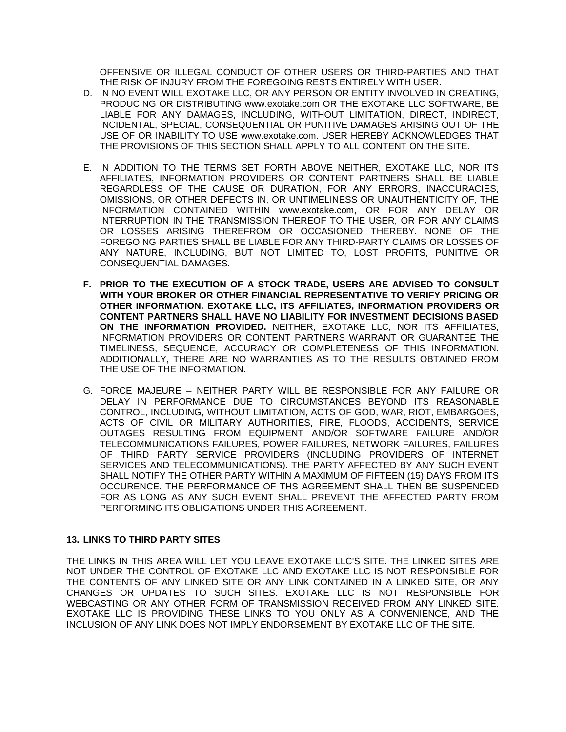OFFENSIVE OR ILLEGAL CONDUCT OF OTHER USERS OR THIRD-PARTIES AND THAT THE RISK OF INJURY FROM THE FOREGOING RESTS ENTIRELY WITH USER.

- D. IN NO EVENT WILL EXOTAKE LLC, OR ANY PERSON OR ENTITY INVOLVED IN CREATING, PRODUCING OR DISTRIBUTING www.exotake.com OR THE EXOTAKE LLC SOFTWARE, BE LIABLE FOR ANY DAMAGES, INCLUDING, WITHOUT LIMITATION, DIRECT, INDIRECT, INCIDENTAL, SPECIAL, CONSEQUENTIAL OR PUNITIVE DAMAGES ARISING OUT OF THE USE OF OR INABILITY TO USE www.exotake.com. USER HEREBY ACKNOWLEDGES THAT THE PROVISIONS OF THIS SECTION SHALL APPLY TO ALL CONTENT ON THE SITE.
- E. IN ADDITION TO THE TERMS SET FORTH ABOVE NEITHER, EXOTAKE LLC, NOR ITS AFFILIATES, INFORMATION PROVIDERS OR CONTENT PARTNERS SHALL BE LIABLE REGARDLESS OF THE CAUSE OR DURATION, FOR ANY ERRORS, INACCURACIES, OMISSIONS, OR OTHER DEFECTS IN, OR UNTIMELINESS OR UNAUTHENTICITY OF, THE INFORMATION CONTAINED WITHIN www.exotake.com, OR FOR ANY DELAY OR INTERRUPTION IN THE TRANSMISSION THEREOF TO THE USER, OR FOR ANY CLAIMS OR LOSSES ARISING THEREFROM OR OCCASIONED THEREBY. NONE OF THE FOREGOING PARTIES SHALL BE LIABLE FOR ANY THIRD-PARTY CLAIMS OR LOSSES OF ANY NATURE, INCLUDING, BUT NOT LIMITED TO, LOST PROFITS, PUNITIVE OR CONSEQUENTIAL DAMAGES.
- **F. PRIOR TO THE EXECUTION OF A STOCK TRADE, USERS ARE ADVISED TO CONSULT WITH YOUR BROKER OR OTHER FINANCIAL REPRESENTATIVE TO VERIFY PRICING OR OTHER INFORMATION. EXOTAKE LLC, ITS AFFILIATES, INFORMATION PROVIDERS OR CONTENT PARTNERS SHALL HAVE NO LIABILITY FOR INVESTMENT DECISIONS BASED ON THE INFORMATION PROVIDED.** NEITHER, EXOTAKE LLC, NOR ITS AFFILIATES, INFORMATION PROVIDERS OR CONTENT PARTNERS WARRANT OR GUARANTEE THE TIMELINESS, SEQUENCE, ACCURACY OR COMPLETENESS OF THIS INFORMATION. ADDITIONALLY, THERE ARE NO WARRANTIES AS TO THE RESULTS OBTAINED FROM THE USE OF THE INFORMATION.
- G. FORCE MAJEURE NEITHER PARTY WILL BE RESPONSIBLE FOR ANY FAILURE OR DELAY IN PERFORMANCE DUE TO CIRCUMSTANCES BEYOND ITS REASONABLE CONTROL, INCLUDING, WITHOUT LIMITATION, ACTS OF GOD, WAR, RIOT, EMBARGOES, ACTS OF CIVIL OR MILITARY AUTHORITIES, FIRE, FLOODS, ACCIDENTS, SERVICE OUTAGES RESULTING FROM EQUIPMENT AND/OR SOFTWARE FAILURE AND/OR TELECOMMUNICATIONS FAILURES, POWER FAILURES, NETWORK FAILURES, FAILURES OF THIRD PARTY SERVICE PROVIDERS (INCLUDING PROVIDERS OF INTERNET SERVICES AND TELECOMMUNICATIONS). THE PARTY AFFECTED BY ANY SUCH EVENT SHALL NOTIFY THE OTHER PARTY WITHIN A MAXIMUM OF FIFTEEN (15) DAYS FROM ITS OCCURENCE. THE PERFORMANCE OF THS AGREEMENT SHALL THEN BE SUSPENDED FOR AS LONG AS ANY SUCH EVENT SHALL PREVENT THE AFFECTED PARTY FROM PERFORMING ITS OBLIGATIONS UNDER THIS AGREEMENT.

# **13. LINKS TO THIRD PARTY SITES**

THE LINKS IN THIS AREA WILL LET YOU LEAVE EXOTAKE LLC'S SITE. THE LINKED SITES ARE NOT UNDER THE CONTROL OF EXOTAKE LLC AND EXOTAKE LLC IS NOT RESPONSIBLE FOR THE CONTENTS OF ANY LINKED SITE OR ANY LINK CONTAINED IN A LINKED SITE, OR ANY CHANGES OR UPDATES TO SUCH SITES. EXOTAKE LLC IS NOT RESPONSIBLE FOR WEBCASTING OR ANY OTHER FORM OF TRANSMISSION RECEIVED FROM ANY LINKED SITE. EXOTAKE LLC IS PROVIDING THESE LINKS TO YOU ONLY AS A CONVENIENCE, AND THE INCLUSION OF ANY LINK DOES NOT IMPLY ENDORSEMENT BY EXOTAKE LLC OF THE SITE.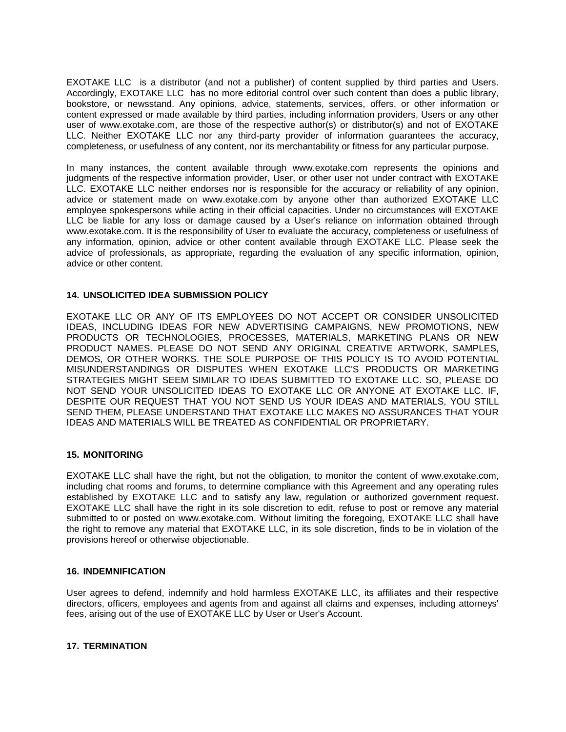EXOTAKE LLC is a distributor (and not a publisher) of content supplied by third parties and Users. Accordingly, EXOTAKE LLC has no more editorial control over such content than does a public library, bookstore, or newsstand. Any opinions, advice, statements, services, offers, or other information or content expressed or made available by third parties, including information providers, Users or any other user of www.exotake.com, are those of the respective author(s) or distributor(s) and not of EXOTAKE LLC. Neither EXOTAKE LLC nor any third-party provider of information guarantees the accuracy, completeness, or usefulness of any content, nor its merchantability or fitness for any particular purpose.

In many instances, the content available through www.exotake.com represents the opinions and judgments of the respective information provider, User, or other user not under contract with EXOTAKE LLC. EXOTAKE LLC neither endorses nor is responsible for the accuracy or reliability of any opinion, advice or statement made on www.exotake.com by anyone other than authorized EXOTAKE LLC employee spokespersons while acting in their official capacities. Under no circumstances will EXOTAKE LLC be liable for any loss or damage caused by a User's reliance on information obtained through www.exotake.com. It is the responsibility of User to evaluate the accuracy, completeness or usefulness of any information, opinion, advice or other content available through EXOTAKE LLC. Please seek the advice of professionals, as appropriate, regarding the evaluation of any specific information, opinion, advice or other content.

## **14. UNSOLICITED IDEA SUBMISSION POLICY**

EXOTAKE LLC OR ANY OF ITS EMPLOYEES DO NOT ACCEPT OR CONSIDER UNSOLICITED IDEAS, INCLUDING IDEAS FOR NEW ADVERTISING CAMPAIGNS, NEW PROMOTIONS, NEW PRODUCTS OR TECHNOLOGIES, PROCESSES, MATERIALS, MARKETING PLANS OR NEW PRODUCT NAMES. PLEASE DO NOT SEND ANY ORIGINAL CREATIVE ARTWORK, SAMPLES, DEMOS, OR OTHER WORKS. THE SOLE PURPOSE OF THIS POLICY IS TO AVOID POTENTIAL MISUNDERSTANDINGS OR DISPUTES WHEN EXOTAKE LLC'S PRODUCTS OR MARKETING STRATEGIES MIGHT SEEM SIMILAR TO IDEAS SUBMITTED TO EXOTAKE LLC. SO, PLEASE DO NOT SEND YOUR UNSOLICITED IDEAS TO EXOTAKE LLC OR ANYONE AT EXOTAKE LLC. IF, DESPITE OUR REQUEST THAT YOU NOT SEND US YOUR IDEAS AND MATERIALS, YOU STILL SEND THEM, PLEASE UNDERSTAND THAT EXOTAKE LLC MAKES NO ASSURANCES THAT YOUR IDEAS AND MATERIALS WILL BE TREATED AS CONFIDENTIAL OR PROPRIETARY.

#### **15. MONITORING**

EXOTAKE LLC shall have the right, but not the obligation, to monitor the content of www.exotake.com, including chat rooms and forums, to determine compliance with this Agreement and any operating rules established by EXOTAKE LLC and to satisfy any law, regulation or authorized government request. EXOTAKE LLC shall have the right in its sole discretion to edit, refuse to post or remove any material submitted to or posted on www.exotake.com. Without limiting the foregoing, EXOTAKE LLC shall have the right to remove any material that EXOTAKE LLC, in its sole discretion, finds to be in violation of the provisions hereof or otherwise objectionable.

#### **16. INDEMNIFICATION**

User agrees to defend, indemnify and hold harmless EXOTAKE LLC, its affiliates and their respective directors, officers, employees and agents from and against all claims and expenses, including attorneys' fees, arising out of the use of EXOTAKE LLC by User or User's Account.

## **17. TERMINATION**